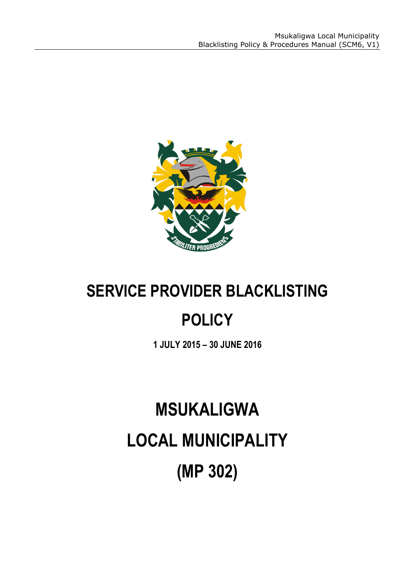

# **SERVICE PROVIDER BLACKLISTING**

# **POLICY**

**1 JULY 2015 – 30 JUNE 2016**

# **MSUKALIGWA LOCAL MUNICIPALITY (MP 302)**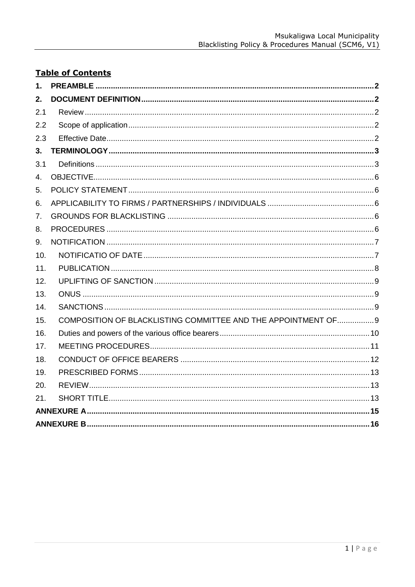# **Table of Contents**

| 1.  |                                                                |  |  |  |
|-----|----------------------------------------------------------------|--|--|--|
| 2.  |                                                                |  |  |  |
| 2.1 |                                                                |  |  |  |
| 2.2 |                                                                |  |  |  |
| 2.3 |                                                                |  |  |  |
| 3.  |                                                                |  |  |  |
| 3.1 |                                                                |  |  |  |
| 4.  |                                                                |  |  |  |
| 5.  |                                                                |  |  |  |
| 6.  |                                                                |  |  |  |
| 7.  |                                                                |  |  |  |
| 8.  |                                                                |  |  |  |
| 9.  |                                                                |  |  |  |
| 10. |                                                                |  |  |  |
| 11. |                                                                |  |  |  |
| 12. |                                                                |  |  |  |
| 13. |                                                                |  |  |  |
| 14. |                                                                |  |  |  |
| 15. | COMPOSITION OF BLACKLISTING COMMITTEE AND THE APPOINTMENT OF 9 |  |  |  |
| 16. |                                                                |  |  |  |
| 17. |                                                                |  |  |  |
| 18. |                                                                |  |  |  |
| 19. |                                                                |  |  |  |
| 20. |                                                                |  |  |  |
| 21. |                                                                |  |  |  |
|     |                                                                |  |  |  |
|     |                                                                |  |  |  |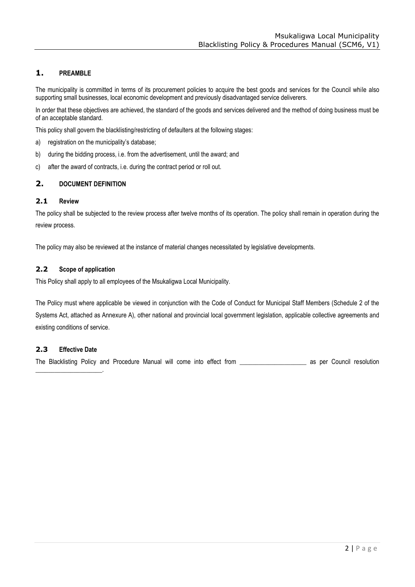# <span id="page-2-0"></span>**1. PREAMBLE**

The municipality is committed in terms of its procurement policies to acquire the best goods and services for the Council while also supporting small businesses, local economic development and previously disadvantaged service deliverers.

In order that these objectives are achieved, the standard of the goods and services delivered and the method of doing business must be of an acceptable standard.

This policy shall govern the blacklisting/restricting of defaulters at the following stages:

- a) registration on the municipality's database;
- b) during the bidding process, i.e. from the advertisement, until the award; and
- c) after the award of contracts, i.e. during the contract period or roll out.

# <span id="page-2-1"></span>**2. DOCUMENT DEFINITION**

# <span id="page-2-2"></span>**2.1 Review**

The policy shall be subjected to the review process after twelve months of its operation. The policy shall remain in operation during the review process.

The policy may also be reviewed at the instance of material changes necessitated by legislative developments.

# <span id="page-2-3"></span>**2.2 Scope of application**

This Policy shall apply to all employees of the Msukaligwa Local Municipality.

The Policy must where applicable be viewed in conjunction with the Code of Conduct for Municipal Staff Members (Schedule 2 of the Systems Act, attached as Annexure A), other national and provincial local government legislation, applicable collective agreements and existing conditions of service.

# <span id="page-2-4"></span>**2.3 Effective Date**

\_\_\_\_\_\_\_\_\_\_\_\_\_\_\_\_\_\_\_\_\_.

The Blacklisting Policy and Procedure Manual will come into effect from \_\_\_\_\_\_\_\_\_\_\_\_\_\_\_\_\_\_\_\_\_\_\_ as per Council resolution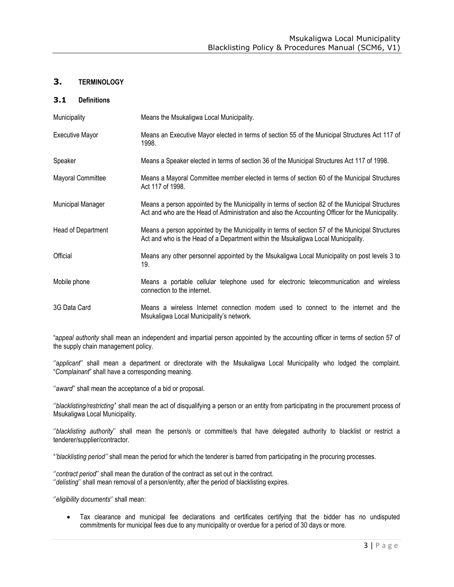# **3. TERMINOLOGY**

# **3.1 Definitions**

<span id="page-3-1"></span><span id="page-3-0"></span>

| Municipality       | Means the Msukaligwa Local Municipality.                                                                                                                                                            |
|--------------------|-----------------------------------------------------------------------------------------------------------------------------------------------------------------------------------------------------|
| Executive Mayor    | Means an Executive Mayor elected in terms of section 55 of the Municipal Structures Act 117 of<br>1998.                                                                                             |
| Speaker            | Means a Speaker elected in terms of section 36 of the Municipal Structures Act 117 of 1998.                                                                                                         |
| Mayoral Committee  | Means a Mayoral Committee member elected in terms of section 60 of the Municipal Structures<br>Act 117 of 1998.                                                                                     |
| Municipal Manager  | Means a person appointed by the Municipality in terms of section 82 of the Municipal Structures<br>Act and who are the Head of Administration and also the Accounting Officer for the Municipality. |
| Head of Department | Means a person appointed by the Municipality in terms of section 57 of the Municipal Structures<br>Act and who is the Head of a Department within the Msukaligwa Local Municipality.                |
| Official           | Means any other personnel appointed by the Msukaligwa Local Municipality on post levels 3 to<br>19.                                                                                                 |
| Mobile phone       | Means a portable cellular telephone used for electronic telecommunication and wireless<br>connection to the internet.                                                                               |
| 3G Data Card       | Means a wireless Internet connection modem used to connect to the internet and the<br>Msukaligwa Local Municipality's network.                                                                      |

"a*ppeal authority* shall mean an independent and impartial person appointed by the accounting officer in terms of section 57 of the supply chain management policy.

"applicant" shall mean a department or directorate with the Msukaligwa Local Municipality who lodged the complaint. "*Complainant*" shall have a corresponding meaning.

"award" shall mean the acceptance of a bid or proposal.

''*blacklisting/restricting'*' shall mean the act of disqualifying a person or an entity from participating in the procurement process of Msukaligwa Local Municipality.

''*blacklisting authority*'' shall mean the person/s or committee/s that have delegated authority to blacklist or restrict a tenderer/supplier/contractor.

"*'blacklisting period''* shall mean the period for which the tenderer is barred from participating in the procuring processes.

''*contract period*'' shall mean the duration of the contract as set out in the contract. "*delisting*" shall mean removal of a person/entity, after the period of blacklisting expires.

''*eligibility documents*'' shall mean:

 Tax clearance and municipal fee declarations and certificates certifying that the bidder has no undisputed commitments for municipal fees due to any municipality or overdue for a period of 30 days or more.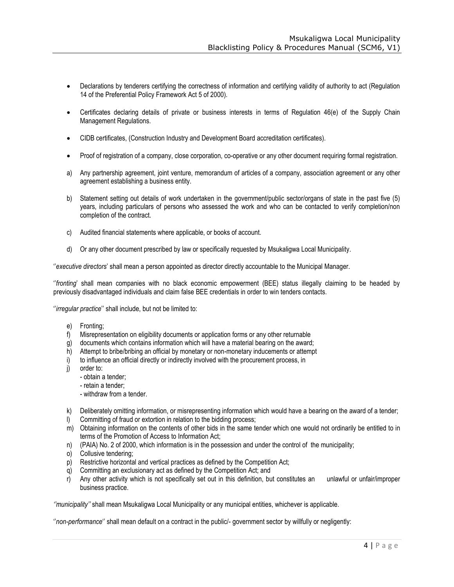- Declarations by tenderers certifying the correctness of information and certifying validity of authority to act (Regulation 14 of the Preferential Policy Framework Act 5 of 2000).
- Certificates declaring details of private or business interests in terms of Regulation 46(e) of the Supply Chain Management Regulations.
- CIDB certificates, (Construction Industry and Development Board accreditation certificates).
- Proof of registration of a company, close corporation, co-operative or any other document requiring formal registration.
- a) Any partnership agreement, joint venture, memorandum of articles of a company, association agreement or any other agreement establishing a business entity.
- b) Statement setting out details of work undertaken in the government/public sector/organs of state in the past five (5) years, including particulars of persons who assessed the work and who can be contacted to verify completion/non completion of the contract.
- c) Audited financial statements where applicable, or books of account.
- d) Or any other document prescribed by law or specifically requested by Msukaligwa Local Municipality.

''*executive directors*' shall mean a person appointed as director directly accountable to the Municipal Manager.

''*fronting*' shall mean companies with no black economic empowerment (BEE) status illegally claiming to be headed by previously disadvantaged individuals and claim false BEE credentials in order to win tenders contacts.

''*irregular practice*'' shall include, but not be limited to:

- e) Fronting;
- f) Misrepresentation on eligibility documents or application forms or any other returnable
- g) documents which contains information which will have a material bearing on the award;
- h) Attempt to bribe/bribing an official by monetary or non-monetary inducements or attempt
- i) to influence an official directly or indirectly involved with the procurement process, in
- j) order to:
	- obtain a tender;
	- retain a tender;
	- withdraw from a tender.
- k) Deliberately omitting information, or misrepresenting information which would have a bearing on the award of a tender;
- l) Committing of fraud or extortion in relation to the bidding process;
- m) Obtaining information on the contents of other bids in the same tender which one would not ordinarily be entitled to in terms of the Promotion of Access to Information Act;
- n) (PAIA) No. 2 of 2000, which information is in the possession and under the control of the municipality;
- o) Collusive tendering;
- p) Restrictive horizontal and vertical practices as defined by the Competition Act;
- q) Committing an exclusionary act as defined by the Competition Act; and
- r) Any other activity which is not specifically set out in this definition, but constitutes an unlawful or unfair/improper business practice.

*''municipality''* shall mean Msukaligwa Local Municipality or any municipal entities, whichever is applicable.

''*non-performance*'' shall mean default on a contract in the public/- government sector by willfully or negligently: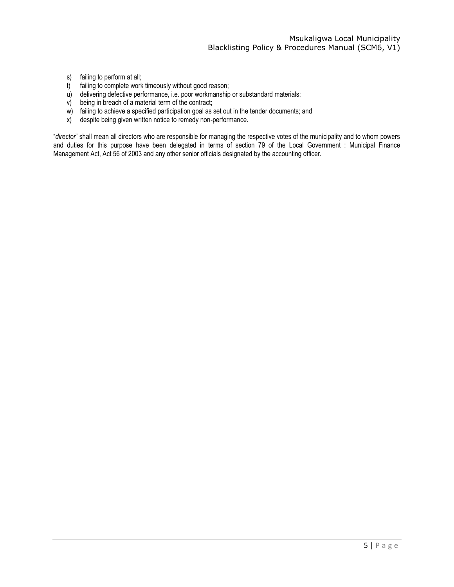- s) failing to perform at all;
- t) failing to complete work timeously without good reason;
- u) delivering defective performance, i.e. poor workmanship or substandard materials;
- v) being in breach of a material term of the contract;
- w) failing to achieve a specified participation goal as set out in the tender documents; and
- x) despite being given written notice to remedy non-performance.

"*director*" shall mean all directors who are responsible for managing the respective votes of the municipality and to whom powers and duties for this purpose have been delegated in terms of section 79 of the Local Government : Municipal Finance Management Act, Act 56 of 2003 and any other senior officials designated by the accounting officer.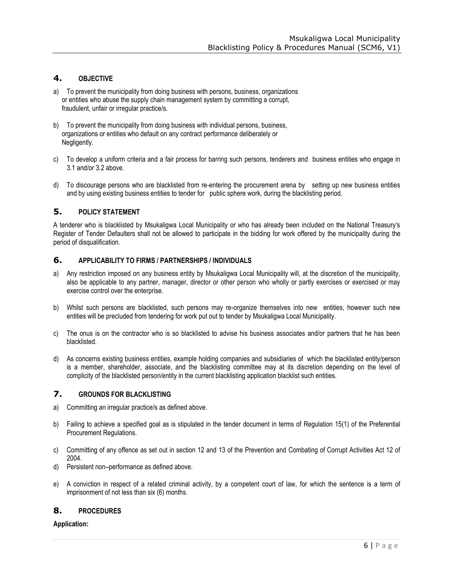# **4. OBJECTIVE**

- a) To prevent the municipality from doing business with persons, business, organizations or entities who abuse the supply chain management system by committing a corrupt, fraudulent, unfair or irregular practice/s.
- <span id="page-6-0"></span>b) To prevent the municipality from doing business with individual persons, business, organizations or entities who default on any contract performance deliberately or Negligently.
- c) To develop a uniform criteria and a fair process for barring such persons, tenderers and business entities who engage in 3.1 and/or 3.2 above.
- d) To discourage persons who are blacklisted from re-entering the procurement arena by setting up new business entities and by using existing business entities to tender for public sphere work, during the blacklisting period.

# **5. POLICY STATEMENT**

<span id="page-6-1"></span>A tenderer who is blacklisted by Msukaligwa Local Municipality or who has already been included on the National Treasury's Register of Tender Defaulters shall not be allowed to participate in the bidding for work offered by the municipality during the period of disqualification.

# **6. APPLICABILITY TO FIRMS / PARTNERSHIPS / INDIVIDUALS**

- <span id="page-6-2"></span>a) Any restriction imposed on any business entity by Msukaligwa Local Municipality will, at the discretion of the municipality, also be applicable to any partner, manager, director or other person who wholly or partly exercises or exercised or may exercise control over the enterprise.
- b) Whilst such persons are blacklisted, such persons may re-organize themselves into new entities, however such new entities will be precluded from tendering for work put out to tender by Msukaligwa Local Municipality.
- c) The onus is on the contractor who is so blacklisted to advise his business associates and/or partners that he has been blacklisted.
- d) As concerns existing business entities, example holding companies and subsidiaries of which the blacklisted entity/person is a member, shareholder, associate, and the blacklisting committee may at its discretion depending on the level of complicity of the blacklisted person/entity in the current blacklisting application blacklist such entities.

# **7. GROUNDS FOR BLACKLISTING**

- a) Committing an irregular practice/s as defined above.
- <span id="page-6-3"></span>b) Failing to achieve a specified goal as is stipulated in the tender document in terms of Regulation 15(1) of the Preferential Procurement Regulations.
- c) Committing of any offence as set out in section 12 and 13 of the Prevention and Combating of Corrupt Activities Act 12 of 2004.
- d) Persistent non–performance as defined above.
- e) A conviction in respect of a related criminal activity, by a competent court of law, for which the sentence is a term of imprisonment of not less than six (6) months.

# **8. PROCEDURES**

# <span id="page-6-4"></span>**Application:**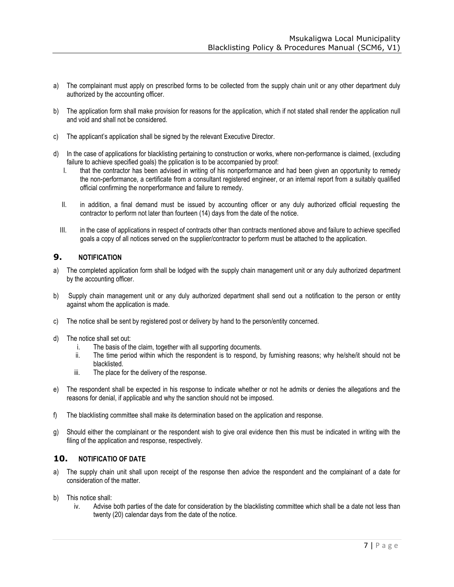- a) The complainant must apply on prescribed forms to be collected from the supply chain unit or any other department duly authorized by the accounting officer.
- b) The application form shall make provision for reasons for the application, which if not stated shall render the application null and void and shall not be considered.
- c) The applicant's application shall be signed by the relevant Executive Director.
- d) In the case of applications for blacklisting pertaining to construction or works, where non-performance is claimed, (excluding failure to achieve specified goals) the pplication is to be accompanied by proof:
	- I. that the contractor has been advised in writing of his nonperformance and had been given an opportunity to remedy the non-performance, a certificate from a consultant registered engineer, or an internal report from a suitably qualified official confirming the nonperformance and failure to remedy.
	- II. in addition, a final demand must be issued by accounting officer or any duly authorized official requesting the contractor to perform not later than fourteen (14) days from the date of the notice.
	- III. in the case of applications in respect of contracts other than contracts mentioned above and failure to achieve specified goals a copy of all notices served on the supplier/contractor to perform must be attached to the application.

# **9. NOTIFICATION**

- a) The completed application form shall be lodged with the supply chain management unit or any duly authorized department by the accounting officer.
- <span id="page-7-0"></span>b) Supply chain management unit or any duly authorized department shall send out a notification to the person or entity against whom the application is made.
- c) The notice shall be sent by registered post or delivery by hand to the person/entity concerned.
- d) The notice shall set out:
	- i. The basis of the claim, together with all supporting documents.
	- ii. The time period within which the respondent is to respond, by furnishing reasons; why he/she/it should not be blacklisted.
	- iii. The place for the delivery of the response.
- e) The respondent shall be expected in his response to indicate whether or not he admits or denies the allegations and the reasons for denial, if applicable and why the sanction should not be imposed.
- f) The blacklisting committee shall make its determination based on the application and response.
- g) Should either the complainant or the respondent wish to give oral evidence then this must be indicated in writing with the filing of the application and response, respectively.

# **10. NOTIFICATIO OF DATE**

- a) The supply chain unit shall upon receipt of the response then advice the respondent and the complainant of a date for consideration of the matter.
- <span id="page-7-1"></span>b) This notice shall:
	- iv. Advise both parties of the date for consideration by the blacklisting committee which shall be a date not less than twenty (20) calendar days from the date of the notice.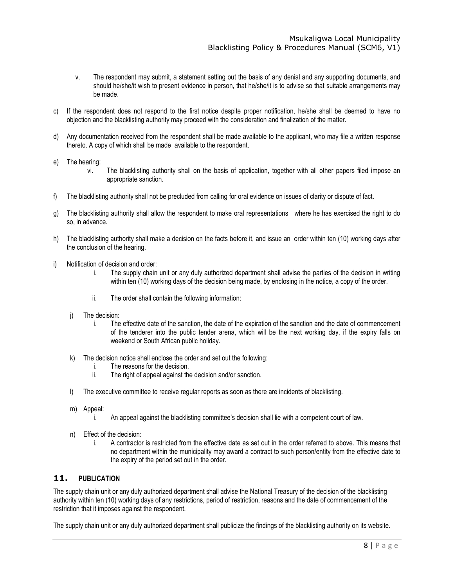- v. The respondent may submit, a statement setting out the basis of any denial and any supporting documents, and should he/she/it wish to present evidence in person, that he/she/it is to advise so that suitable arrangements may be made.
- c) If the respondent does not respond to the first notice despite proper notification, he/she shall be deemed to have no objection and the blacklisting authority may proceed with the consideration and finalization of the matter.
- d) Any documentation received from the respondent shall be made available to the applicant, who may file a written response thereto. A copy of which shall be made available to the respondent.
- e) The hearing:
	- vi. The blacklisting authority shall on the basis of application, together with all other papers filed impose an appropriate sanction.
- f) The blacklisting authority shall not be precluded from calling for oral evidence on issues of clarity or dispute of fact.
- g) The blacklisting authority shall allow the respondent to make oral representations where he has exercised the right to do so, in advance.
- h) The blacklisting authority shall make a decision on the facts before it, and issue an order within ten (10) working days after the conclusion of the hearing.
- i) Notification of decision and order:
	- i. The supply chain unit or any duly authorized department shall advise the parties of the decision in writing within ten (10) working days of the decision being made, by enclosing in the notice, a copy of the order.
	- ii. The order shall contain the following information:
	- j) The decision:
		- i. The effective date of the sanction, the date of the expiration of the sanction and the date of commencement of the tenderer into the public tender arena, which will be the next working day, if the expiry falls on weekend or South African public holiday.
	- k) The decision notice shall enclose the order and set out the following:
		- i. The reasons for the decision.
		- ii. The right of appeal against the decision and/or sanction.
	- l) The executive committee to receive regular reports as soon as there are incidents of blacklisting.
	- m) Appeal:
		- i. An appeal against the blacklisting committee's decision shall lie with a competent court of law.
	- n) Effect of the decision:
		- i. A contractor is restricted from the effective date as set out in the order referred to above. This means that no department within the municipality may award a contract to such person/entity from the effective date to the expiry of the period set out in the order.

# **11. PUBLICATION**

<span id="page-8-0"></span>The supply chain unit or any duly authorized department shall advise the National Treasury of the decision of the blacklisting authority within ten (10) working days of any restrictions, period of restriction, reasons and the date of commencement of the restriction that it imposes against the respondent.

The supply chain unit or any duly authorized department shall publicize the findings of the blacklisting authority on its website.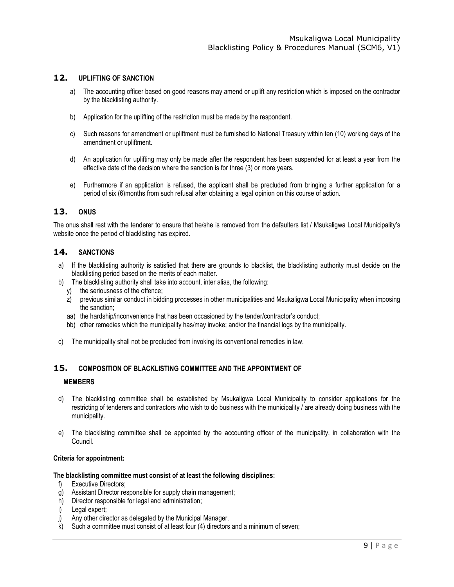# **12. UPLIFTING OF SANCTION**

- a) The accounting officer based on good reasons may amend or uplift any restriction which is imposed on the contractor by the blacklisting authority.
- <span id="page-9-0"></span>b) Application for the uplifting of the restriction must be made by the respondent.
- c) Such reasons for amendment or upliftment must be furnished to National Treasury within ten (10) working days of the amendment or upliftment.
- d) An application for uplifting may only be made after the respondent has been suspended for at least a year from the effective date of the decision where the sanction is for three (3) or more years.
- e) Furthermore if an application is refused, the applicant shall be precluded from bringing a further application for a period of six (6)months from such refusal after obtaining a legal opinion on this course of action.

# **13. ONUS**

The onus shall rest with the tenderer to ensure that he/she is removed from the defaulters list / Msukaligwa Local Municipality's website once the period of blacklisting has expired.

# <span id="page-9-1"></span>**14. SANCTIONS**

- a) If the blacklisting authority is satisfied that there are grounds to blacklist, the blacklisting authority must decide on the blacklisting period based on the merits of each matter.
- <span id="page-9-2"></span>b) The blacklisting authority shall take into account, inter alias, the following:
	- y) the seriousness of the offence;
	- z) previous similar conduct in bidding processes in other municipalities and Msukaligwa Local Municipality when imposing the sanction;
	- aa) the hardship/inconvenience that has been occasioned by the tender/contractor's conduct;
	- bb) other remedies which the municipality has/may invoke; and/or the financial logs by the municipality.
- c) The municipality shall not be precluded from invoking its conventional remedies in law.

# **15. COMPOSITION OF BLACKLISTING COMMITTEE AND THE APPOINTMENT OF**

# **MEMBERS**

- <span id="page-9-3"></span>d) The blacklisting committee shall be established by Msukaligwa Local Municipality to consider applications for the restricting of tenderers and contractors who wish to do business with the municipality / are already doing business with the municipality.
- e) The blacklisting committee shall be appointed by the accounting officer of the municipality, in collaboration with the Council.

#### **Criteria for appointment:**

#### **The blacklisting committee must consist of at least the following disciplines:**

- f) Executive Directors;
- g) Assistant Director responsible for supply chain management;
- h) Director responsible for legal and administration;
- i) Legal expert;
- j) Any other director as delegated by the Municipal Manager.
- k) Such a committee must consist of at least four (4) directors and a minimum of seven;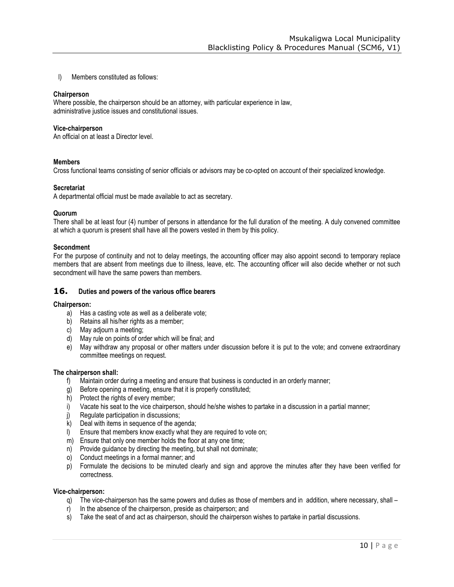l) Members constituted as follows:

#### **Chairperson**

Where possible, the chairperson should be an attorney, with particular experience in law, administrative justice issues and constitutional issues.

#### **Vice-chairperson**

An official on at least a Director level.

#### **Members**

Cross functional teams consisting of senior officials or advisors may be co-opted on account of their specialized knowledge.

#### **Secretariat**

A departmental official must be made available to act as secretary.

#### **Quorum**

There shall be at least four (4) number of persons in attendance for the full duration of the meeting. A duly convened committee at which a quorum is present shall have all the powers vested in them by this policy.

#### **Secondment**

For the purpose of continuity and not to delay meetings, the accounting officer may also appoint secondi to temporary replace members that are absent from meetings due to illness, leave, etc. The accounting officer will also decide whether or not such secondment will have the same powers than members.

#### **16. Duties and powers of the various office bearers**

#### <span id="page-10-0"></span>**Chairperson:**

- a) Has a casting vote as well as a deliberate vote;
- b) Retains all his/her rights as a member;
- c) May adjourn a meeting;
- d) May rule on points of order which will be final; and
- e) May withdraw any proposal or other matters under discussion before it is put to the vote; and convene extraordinary committee meetings on request.

#### **The chairperson shall:**

- f) Maintain order during a meeting and ensure that business is conducted in an orderly manner;
- g) Before opening a meeting, ensure that it is properly constituted;
- h) Protect the rights of every member;
- i) Vacate his seat to the vice chairperson, should he/she wishes to partake in a discussion in a partial manner;
- j) Regulate participation in discussions;
- k) Deal with items in sequence of the agenda;
- l) Ensure that members know exactly what they are required to vote on;
- m) Ensure that only one member holds the floor at any one time;
- n) Provide guidance by directing the meeting, but shall not dominate;
- o) Conduct meetings in a formal manner; and
- p) Formulate the decisions to be minuted clearly and sign and approve the minutes after they have been verified for correctness.

#### **Vice-chairperson:**

- q) The vice-chairperson has the same powers and duties as those of members and in addition, where necessary, shall –
- r) In the absence of the chairperson, preside as chairperson; and
- s) Take the seat of and act as chairperson, should the chairperson wishes to partake in partial discussions.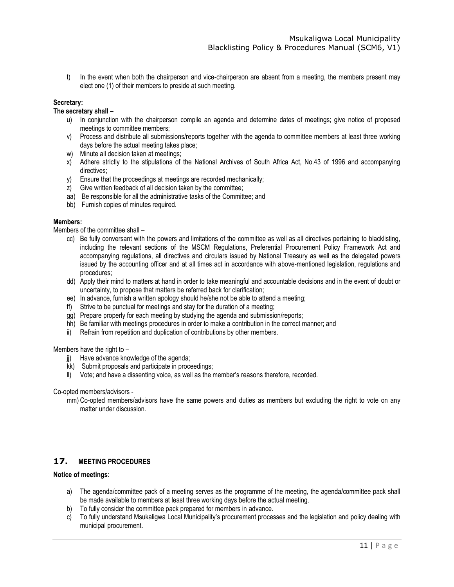t) In the event when both the chairperson and vice-chairperson are absent from a meeting, the members present may elect one (1) of their members to preside at such meeting.

# **Secretary:**

# **The secretary shall –**

- u) In conjunction with the chairperson compile an agenda and determine dates of meetings; give notice of proposed meetings to committee members;
- v) Process and distribute all submissions/reports together with the agenda to committee members at least three working days before the actual meeting takes place;
- w) Minute all decision taken at meetings;
- x) Adhere strictly to the stipulations of the National Archives of South Africa Act, No.43 of 1996 and accompanying directives;
- y) Ensure that the proceedings at meetings are recorded mechanically;
- $\overrightarrow{z}$  Give written feedback of all decision taken by the committee;
- aa) Be responsible for all the administrative tasks of the Committee; and
- bb) Furnish copies of minutes required.

#### **Members:**

Members of the committee shall –

- cc) Be fully conversant with the powers and limitations of the committee as well as all directives pertaining to blacklisting, including the relevant sections of the MSCM Regulations, Preferential Procurement Policy Framework Act and accompanying regulations, all directives and circulars issued by National Treasury as well as the delegated powers issued by the accounting officer and at all times act in accordance with above-mentioned legislation, regulations and procedures;
- dd) Apply their mind to matters at hand in order to take meaningful and accountable decisions and in the event of doubt or uncertainty, to propose that matters be referred back for clarification;
- ee) In advance, furnish a written apology should he/she not be able to attend a meeting;
- ff) Strive to be punctual for meetings and stay for the duration of a meeting;
- gg) Prepare properly for each meeting by studying the agenda and submission/reports;
- hh) Be familiar with meetings procedures in order to make a contribution in the correct manner; and
- ii) Refrain from repetition and duplication of contributions by other members.

#### Members have the right to –

- ji) Have advance knowledge of the agenda;
- kk) Submit proposals and participate in proceedings;
- ll) Vote; and have a dissenting voice, as well as the member's reasons therefore, recorded.

Co-opted members/advisors -

mm) Co-opted members/advisors have the same powers and duties as members but excluding the right to vote on any matter under discussion.

# **17. MEETING PROCEDURES**

#### <span id="page-11-0"></span>**Notice of meetings:**

- a) The agenda/committee pack of a meeting serves as the programme of the meeting, the agenda/committee pack shall be made available to members at least three working days before the actual meeting.
- b) To fully consider the committee pack prepared for members in advance.
- c) To fully understand Msukaligwa Local Municipality's procurement processes and the legislation and policy dealing with municipal procurement.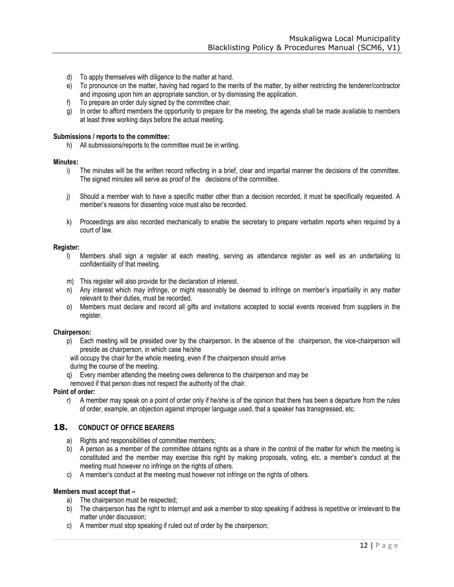- d) To apply themselves with diligence to the matter at hand.
- e) To pronounce on the matter, having had regard to the merits of the matter, by either restricting the tenderer/contractor and imposing upon him an appropriate sanction, or by dismissing the application.
- f) To prepare an order duly signed by the committee chair.
- g) In order to afford members the opportunity to prepare for the meeting, the agenda shall be made available to members at least three working days before the actual meeting.

#### **Submissions / reports to the committee:**

h) All submissions/reports to the committee must be in writing.

#### **Minutes:**

- i) The minutes will be the written record reflecting in a brief, clear and impartial manner the decisions of the committee. The signed minutes will serve as proof of the decisions of the committee.
- j) Should a member wish to have a specific matter other than a decision recorded, it must be specifically requested. A member's reasons for dissenting voice must also be recorded.
- k) Proceedings are also recorded mechanically to enable the secretary to prepare verbatim reports when required by a court of law.

#### **Register:**

- l) Members shall sign a register at each meeting, serving as attendance register as well as an undertaking to confidentiality of that meeting.
- m) This register will also provide for the declaration of interest.
- n) Any interest which may infringe, or might reasonably be deemed to infringe on member's impartiality in any matter relevant to their duties, must be recorded.
- o) Members must declare and record all gifts and invitations accepted to social events received from suppliers in the register.

#### **Chairperson:**

p) Each meeting will be presided over by the chairperson. In the absence of the chairperson, the vice-chairperson will preside as chairperson, in which case he/she

will occupy the chair for the whole meeting, even if the chairperson should arrive

during the course of the meeting.

q) Every member attending the meeting owes deference to the chairperson and may be

removed if that person does not respect the authority of the chair.

#### **Point of order:**

r) A member may speak on a point of order only if he/she is of the opinion that there has been a departure from the rules of order, example, an objection against improper language used, that a speaker has transgressed, etc.

# **18. CONDUCT OF OFFICE BEARERS**

- a) Rights and responsibilities of committee members;
- <span id="page-12-0"></span>b) A person as a member of the committee obtains rights as a share in the control of the matter for which the meeting is constituted and the member may exercise this right by making proposals, voting, etc. a member's conduct at the meeting must however no infringe on the rights of others.
- c) A member's conduct at the meeting must however not infringe on the rights of others.

# **Members must accept that –**

- a) The chairperson must be respected;
- b) The chairperson has the right to interrupt and ask a member to stop speaking if address is repetitive or irrelevant to the matter under discussion;
- c) A member must stop speaking if ruled out of order by the chairperson;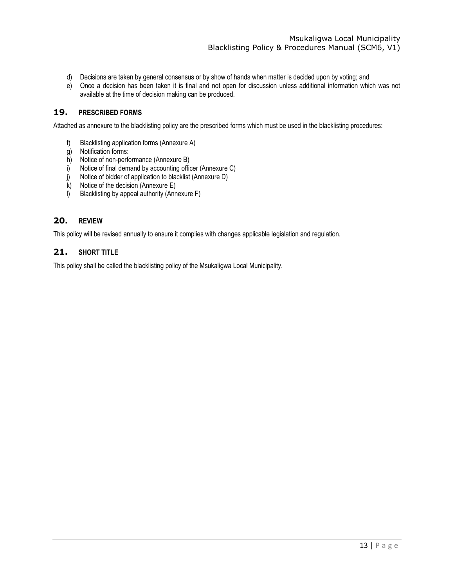- d) Decisions are taken by general consensus or by show of hands when matter is decided upon by voting; and
- e) Once a decision has been taken it is final and not open for discussion unless additional information which was not available at the time of decision making can be produced.

# **19. PRESCRIBED FORMS**

<span id="page-13-0"></span>Attached as annexure to the blacklisting policy are the prescribed forms which must be used in the blacklisting procedures:

- f) Blacklisting application forms (Annexure A)
- g) Notification forms:
- h) Notice of non-performance (Annexure B)
- i) Notice of final demand by accounting officer (Annexure C)
- j) Notice of bidder of application to blacklist (Annexure D)
- $k$ ) Notice of the decision (Annexure E)
- l) Blacklisting by appeal authority (Annexure F)

# **20. REVIEW**

This policy will be revised annually to ensure it complies with changes applicable legislation and regulation.

# <span id="page-13-1"></span>**21. SHORT TITLE**

<span id="page-13-2"></span>This policy shall be called the blacklisting policy of the Msukaligwa Local Municipality.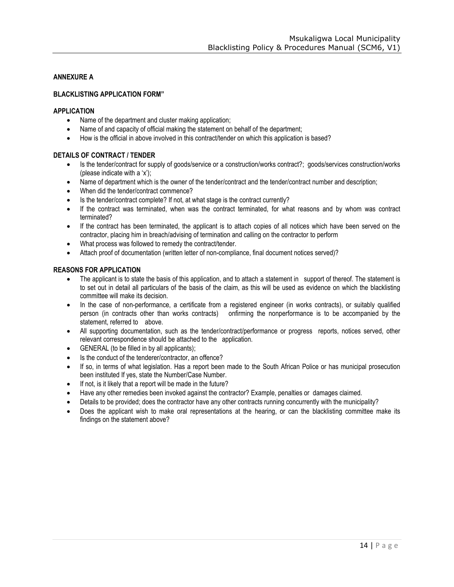# **ANNEXURE A**

# **BLACKLISTING APPLICATION FORM"**

#### **APPLICATION**

- Name of the department and cluster making application;
- Name of and capacity of official making the statement on behalf of the department;
- How is the official in above involved in this contract/tender on which this application is based?

# **DETAILS OF CONTRACT / TENDER**

- Is the tender/contract for supply of goods/service or a construction/works contract?; goods/services construction/works (please indicate with a 'x');
- Name of department which is the owner of the tender/contract and the tender/contract number and description;
- When did the tender/contract commence?
- Is the tender/contract complete? If not, at what stage is the contract currently?
- If the contract was terminated, when was the contract terminated, for what reasons and by whom was contract terminated?
- If the contract has been terminated, the applicant is to attach copies of all notices which have been served on the contractor, placing him in breach/advising of termination and calling on the contractor to perform
- What process was followed to remedy the contract/tender.
- Attach proof of documentation (written letter of non-compliance, final document notices served)?

# **REASONS FOR APPLICATION**

- The applicant is to state the basis of this application, and to attach a statement in support of thereof. The statement is to set out in detail all particulars of the basis of the claim, as this will be used as evidence on which the blacklisting committee will make its decision.
- In the case of non-performance, a certificate from a registered engineer (in works contracts), or suitably qualified person (in contracts other than works contracts) onfirming the nonperformance is to be accompanied by the statement, referred to above.
- All supporting documentation, such as the tender/contract/performance or progress reports, notices served, other relevant correspondence should be attached to the application.
- GENERAL (to be filled in by all applicants);
- Is the conduct of the tenderer/contractor, an offence?
- If so, in terms of what legislation. Has a report been made to the South African Police or has municipal prosecution been instituted If yes, state the Number/Case Number.
- If not, is it likely that a report will be made in the future?
- Have any other remedies been invoked against the contractor? Example, penalties or damages claimed.
- Details to be provided; does the contractor have any other contracts running concurrently with the municipality?
- Does the applicant wish to make oral representations at the hearing, or can the blacklisting committee make its findings on the statement above?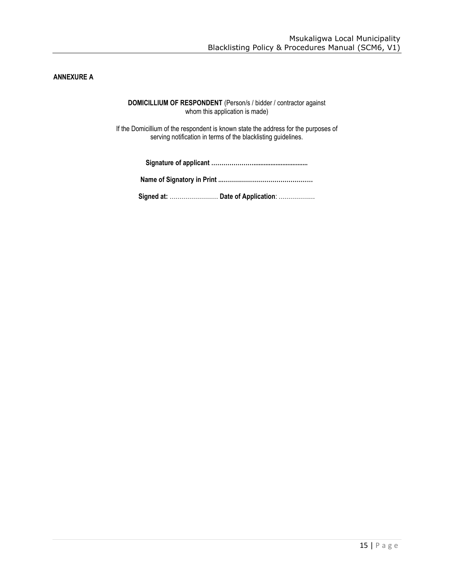# <span id="page-15-0"></span>**ANNEXURE A**

**DOMICILLIUM OF RESPONDENT** (Person/s / bidder / contractor against whom this application is made)

If the Domicillium of the respondent is known state the address for the purposes of serving notification in terms of the blacklisting guidelines.

| Signed at:  Date of Application: |
|----------------------------------|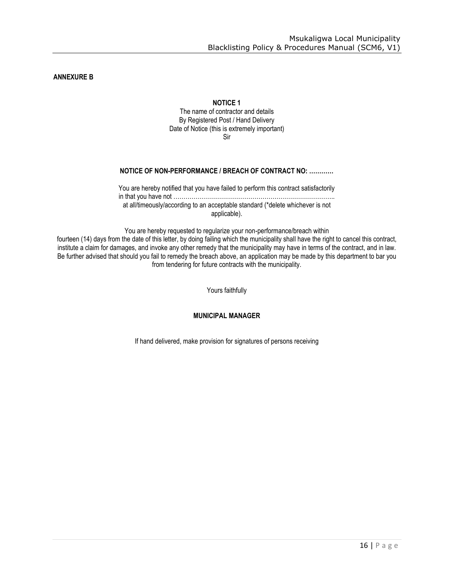<span id="page-16-0"></span>**ANNEXURE B**

# **NOTICE 1**

The name of contractor and details By Registered Post / Hand Delivery Date of Notice (this is extremely important) Sir

# **NOTICE OF NON-PERFORMANCE / BREACH OF CONTRACT NO: …………**

You are hereby notified that you have failed to perform this contract satisfactorily in that you have not …………………………………………………………………….. at all/timeously/according to an acceptable standard (\*delete whichever is not applicable).

You are hereby requested to regularize your non-performance/breach within fourteen (14) days from the date of this letter, by doing failing which the municipality shall have the right to cancel this contract, institute a claim for damages, and invoke any other remedy that the municipality may have in terms of the contract, and in law. Be further advised that should you fail to remedy the breach above, an application may be made by this department to bar you from tendering for future contracts with the municipality.

Yours faithfully

**MUNICIPAL MANAGER**

If hand delivered, make provision for signatures of persons receiving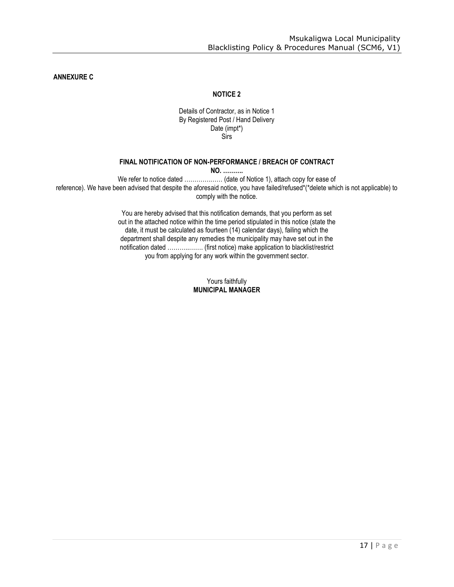**ANNEXURE C**

# **NOTICE 2**

#### Details of Contractor, as in Notice 1 By Registered Post / Hand Delivery Date (impt\*) Sirs

#### **FINAL NOTIFICATION OF NON-PERFORMANCE / BREACH OF CONTRACT**

**NO. ……….**

We refer to notice dated .................... (date of Notice 1), attach copy for ease of reference). We have been advised that despite the aforesaid notice, you have failed/refused\*(\*delete which is not applicable) to comply with the notice.

> You are hereby advised that this notification demands, that you perform as set out in the attached notice within the time period stipulated in this notice (state the date, it must be calculated as fourteen (14) calendar days), failing which the department shall despite any remedies the municipality may have set out in the notification dated ………..……. (first notice) make application to blacklist/restrict you from applying for any work within the government sector.

# Yours faithfully **MUNICIPAL MANAGER**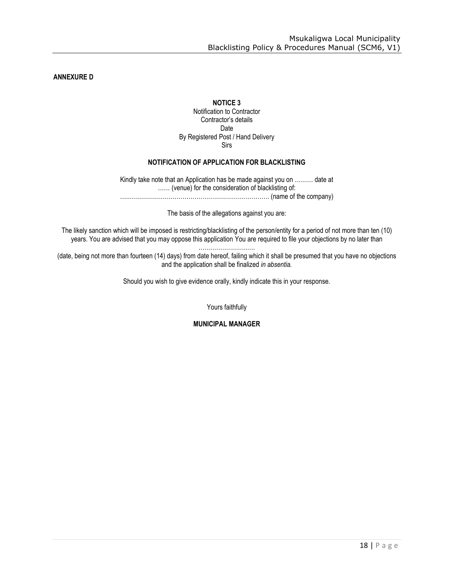**ANNEXURE D**

# **NOTICE 3**

Notification to Contractor Contractor's details Date By Registered Post / Hand Delivery Sirs

# **NOTIFICATION OF APPLICATION FOR BLACKLISTING**

Kindly take note that an Application has be made against you on ……… date at …… (venue) for the consideration of blacklisting of: ….……………………………………………………………. (name of the company)

The basis of the allegations against you are:

The likely sanction which will be imposed is restricting/blacklisting of the person/entity for a period of not more than ten (10) years. You are advised that you may oppose this application You are required to file your objections by no later than

……………………….

(date, being not more than fourteen (14) days) from date hereof, failing which it shall be presumed that you have no objections and the application shall be finalized *in absentia.*

Should you wish to give evidence orally, kindly indicate this in your response.

Yours faithfully

**MUNICIPAL MANAGER**